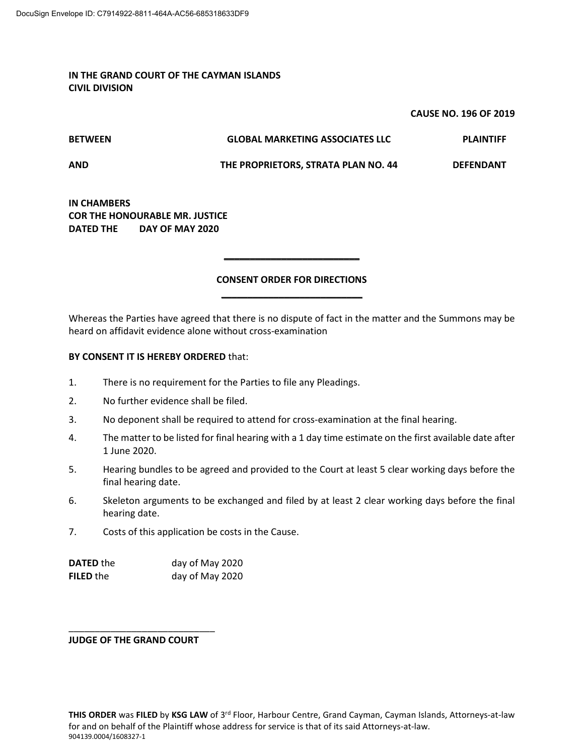## **IN THE GRAND COURT OF THE CAYMAN ISLANDS CIVIL DIVISION**

## **CAUSE NO. 196 OF 2019**

**BETWEEN GLOBAL MARKETING ASSOCIATES LLC PLAINTIFF** 

**AND THE PROPRIETORS, STRATA PLAN NO. 44 DEFENDANT** 

**IN CHAMBERS COR THE HONOURABLE MR. JUSTICE DATED THE DAY OF MAY 2020** 

## **CONSENT ORDER FOR DIRECTIONS**  \_\_\_\_\_\_\_\_\_\_\_\_\_\_\_\_\_\_\_\_\_\_\_\_\_\_\_

\_\_\_\_\_\_\_\_\_\_\_\_\_\_\_\_\_\_\_\_\_\_\_\_\_\_

Whereas the Parties have agreed that there is no dispute of fact in the matter and the Summons may be heard on affidavit evidence alone without cross-examination

## **BY CONSENT IT IS HEREBY ORDERED** that:

- 1. There is no requirement for the Parties to file any Pleadings.
- 2. No further evidence shall be filed.
- 3. No deponent shall be required to attend for cross-examination at the final hearing.
- 4. The matter to be listed for final hearing with a 1 day time estimate on the first available date after 1 June 2020.
- 5. Hearing bundles to be agreed and provided to the Court at least 5 clear working days before the final hearing date.
- 6. Skeleton arguments to be exchanged and filed by at least 2 clear working days before the final hearing date.
- 7. Costs of this application be costs in the Cause.

| <b>DATED</b> the | day of May 2020 |
|------------------|-----------------|
| <b>FILED</b> the | day of May 2020 |

**JUDGE OF THE GRAND COURT** 

\_\_\_\_\_\_\_\_\_\_\_\_\_\_\_\_\_\_\_\_\_\_\_\_\_\_\_\_